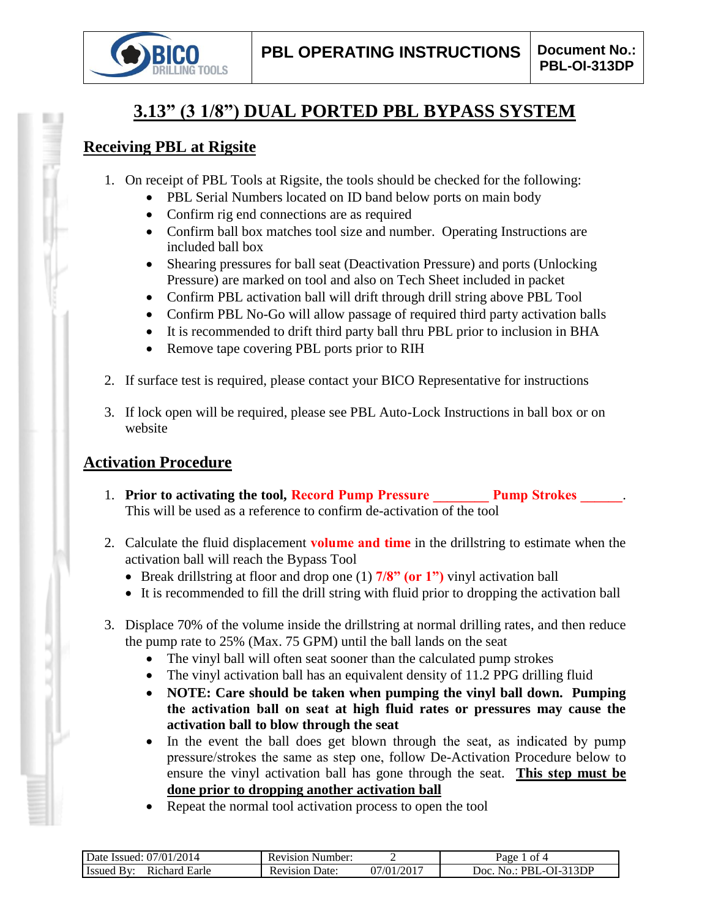

# **3.13" (3 1/8") DUAL PORTED PBL BYPASS SYSTEM**

#### **Receiving PBL at Rigsite**

- 1. On receipt of PBL Tools at Rigsite, the tools should be checked for the following:
	- PBL Serial Numbers located on ID band below ports on main body
	- Confirm rig end connections are as required
	- Confirm ball box matches tool size and number. Operating Instructions are included ball box
	- Shearing pressures for ball seat (Deactivation Pressure) and ports (Unlocking Pressure) are marked on tool and also on Tech Sheet included in packet
	- Confirm PBL activation ball will drift through drill string above PBL Tool
	- Confirm PBL No-Go will allow passage of required third party activation balls
	- It is recommended to drift third party ball thru PBL prior to inclusion in BHA
	- Remove tape covering PBL ports prior to RIH
- 2. If surface test is required, please contact your BICO Representative for instructions
- 3. If lock open will be required, please see PBL Auto-Lock Instructions in ball box or on website

## **Activation Procedure**

- 1. **Prior to activating the tool, Record Pump Pressure Pump Strokes 2014** This will be used as a reference to confirm de-activation of the tool
- 2. Calculate the fluid displacement **volume and time** in the drillstring to estimate when the activation ball will reach the Bypass Tool
	- Break drillstring at floor and drop one (1) **7/8" (or 1")** vinyl activation ball
	- It is recommended to fill the drill string with fluid prior to dropping the activation ball
- 3. Displace 70% of the volume inside the drillstring at normal drilling rates, and then reduce the pump rate to 25% (Max. 75 GPM) until the ball lands on the seat
	- The vinyl ball will often seat sooner than the calculated pump strokes
	- The vinyl activation ball has an equivalent density of 11.2 PPG drilling fluid
	- **NOTE: Care should be taken when pumping the vinyl ball down. Pumping the activation ball on seat at high fluid rates or pressures may cause the activation ball to blow through the seat**
	- In the event the ball does get blown through the seat, as indicated by pump pressure/strokes the same as step one, follow De-Activation Procedure below to ensure the vinyl activation ball has gone through the seat. **This step must be done prior to dropping another activation ball**
	- Repeat the normal tool activation process to open the tool

| 2014<br>07/01<br>$\Delta$ Date $'$<br>Issued: | Number:<br>Revision |                | -ot 4<br>γaσe               |
|-----------------------------------------------|---------------------|----------------|-----------------------------|
| R <sub>1</sub> chard<br>.<br>Earle<br>Issued  | Date<br>Revision    | 1/2017<br>7/01 | 313DP<br>Joc<br>,,,,<br>NO. |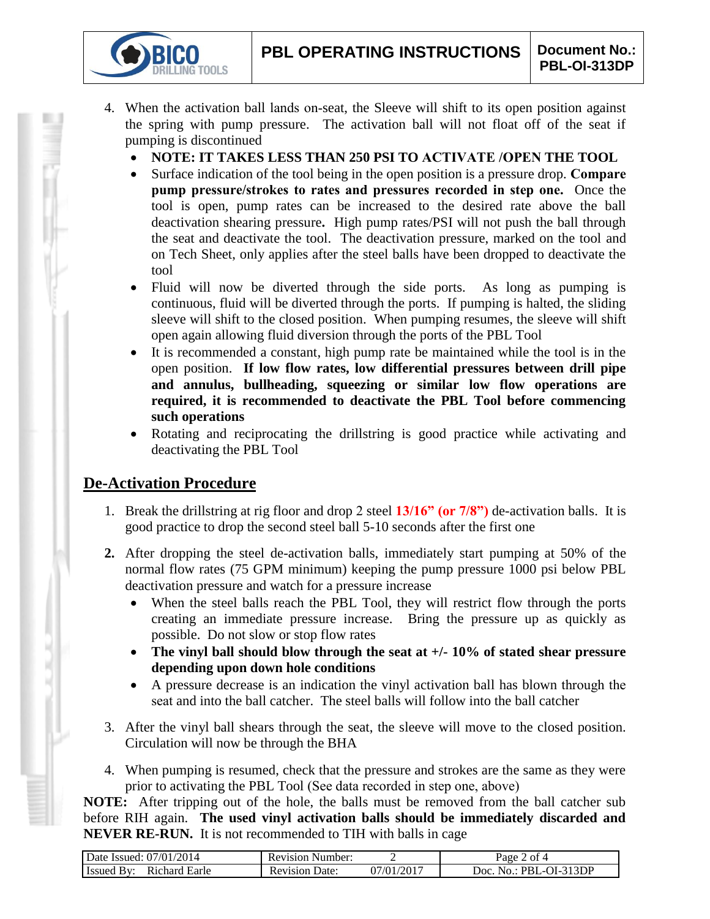- 4. When the activation ball lands on-seat, the Sleeve will shift to its open position against the spring with pump pressure. The activation ball will not float off of the seat if pumping is discontinued
	- **NOTE: IT TAKES LESS THAN 250 PSI TO ACTIVATE /OPEN THE TOOL**
	- Surface indication of the tool being in the open position is a pressure drop. **Compare pump pressure/strokes to rates and pressures recorded in step one.** Once the tool is open, pump rates can be increased to the desired rate above the ball deactivation shearing pressure**.** High pump rates/PSI will not push the ball through the seat and deactivate the tool. The deactivation pressure, marked on the tool and on Tech Sheet, only applies after the steel balls have been dropped to deactivate the tool
	- Fluid will now be diverted through the side ports. As long as pumping is continuous, fluid will be diverted through the ports. If pumping is halted, the sliding sleeve will shift to the closed position. When pumping resumes, the sleeve will shift open again allowing fluid diversion through the ports of the PBL Tool
	- It is recommended a constant, high pump rate be maintained while the tool is in the open position. **If low flow rates, low differential pressures between drill pipe and annulus, bullheading, squeezing or similar low flow operations are required, it is recommended to deactivate the PBL Tool before commencing such operations**
	- Rotating and reciprocating the drillstring is good practice while activating and deactivating the PBL Tool

## **De-Activation Procedure**

**TOOLS** 

- 1. Break the drillstring at rig floor and drop 2 steel **13/16" (or 7/8")** de-activation balls. It is good practice to drop the second steel ball 5-10 seconds after the first one
- **2.** After dropping the steel de-activation balls, immediately start pumping at 50% of the normal flow rates (75 GPM minimum) keeping the pump pressure 1000 psi below PBL deactivation pressure and watch for a pressure increase
	- When the steel balls reach the PBL Tool, they will restrict flow through the ports creating an immediate pressure increase. Bring the pressure up as quickly as possible. Do not slow or stop flow rates
	- **The vinyl ball should blow through the seat at +/- 10% of stated shear pressure depending upon down hole conditions**
	- A pressure decrease is an indication the vinyl activation ball has blown through the seat and into the ball catcher. The steel balls will follow into the ball catcher
- 3. After the vinyl ball shears through the seat, the sleeve will move to the closed position. Circulation will now be through the BHA
- 4. When pumping is resumed, check that the pressure and strokes are the same as they were prior to activating the PBL Tool (See data recorded in step one, above)

**NOTE:** After tripping out of the hole, the balls must be removed from the ball catcher sub before RIH again. **The used vinyl activation balls should be immediately discarded and NEVER RE-RUN.** It is not recommended to TIH with balls in cage

| Date Issued: 07/01/2014            | <b>Revision Number:</b>  |                          | of 4<br>Page                       |
|------------------------------------|--------------------------|--------------------------|------------------------------------|
| <b>Issued By:</b><br>Richard Earle | Date:<br><b>Revision</b> | $1/01/201$ <sup>-1</sup> | -OI-313DP<br>-No.: PBL<br>$\Omega$ |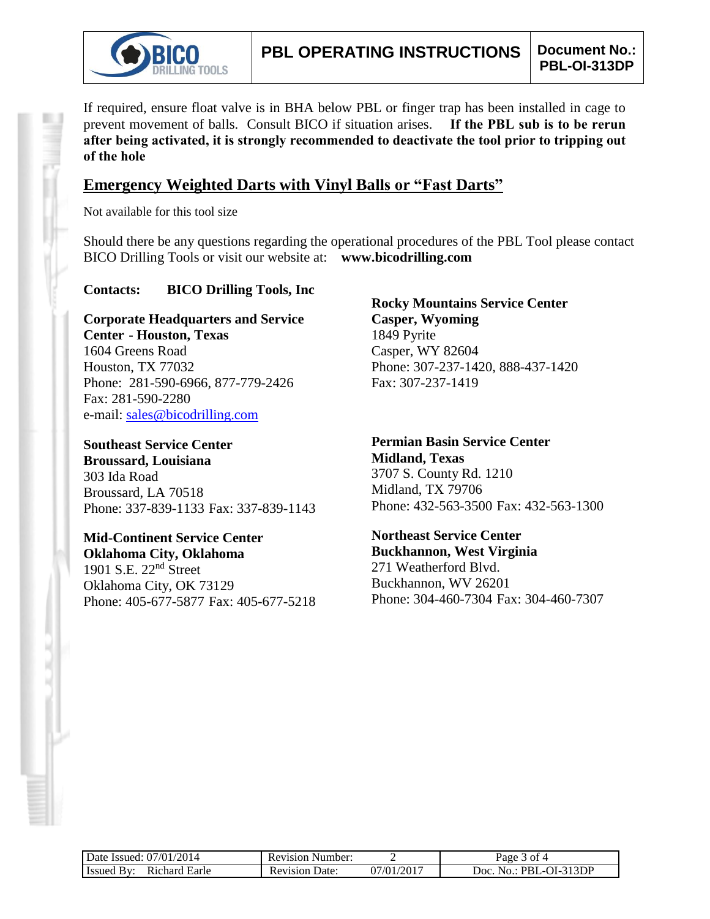

If required, ensure float valve is in BHA below PBL or finger trap has been installed in cage to prevent movement of balls. Consult BICO if situation arises. **If the PBL sub is to be rerun after being activated, it is strongly recommended to deactivate the tool prior to tripping out of the hole**

#### **Emergency Weighted Darts with Vinyl Balls or "Fast Darts"**

Not available for this tool size

Should there be any questions regarding the operational procedures of the PBL Tool please contact BICO Drilling Tools or visit our website at: **www.bicodrilling.com**

#### **Contacts: BICO Drilling Tools, Inc**

**Corporate Headquarters and Service Center - Houston, Texas** 1604 Greens Road Houston, TX 77032 Phone: 281-590-6966, 877-779-2426 Fax: 281-590-2280 e-mail: [sales@bicodrilling.com](mailto:sales@bicodrilling.com)

**Southeast Service Center Broussard, Louisiana** 303 Ida Road Broussard, LA 70518 Phone: 337-839-1133 Fax: 337-839-1143

**Mid-Continent Service Center Oklahoma City, Oklahoma** 1901 S.E. 22nd Street Oklahoma City, OK 73129 Phone: 405-677-5877 Fax: 405-677-5218

**Rocky Mountains Service Center Casper, Wyoming** 1849 Pyrite Casper, WY 82604 Phone: 307-237-1420, 888-437-1420 Fax: 307-237-1419

**Permian Basin Service Center Midland, Texas** 3707 S. County Rd. 1210 Midland, TX 79706 Phone: 432-563-3500 Fax: 432-563-1300

**Northeast Service Center Buckhannon, West Virginia** 271 Weatherford Blvd. Buckhannon, WV 26201 Phone: 304-460-7304 Fax: 304-460-7307

| Date Issued: 07/01/2014     | <b>Revision Number:</b> |            | 3 of 4<br>Page 5                |
|-----------------------------|-------------------------|------------|---------------------------------|
| Issued By:<br>Richard Earle | <b>Revision Date:</b>   | 07/01/2017 | $No.: PBL-OI-313DP$<br>$"$ Doc. |